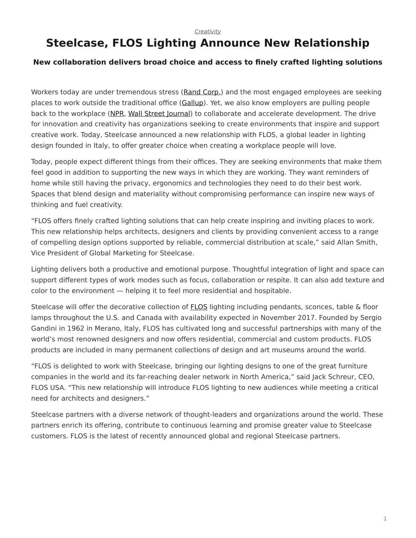## <span id="page-0-0"></span>**Steelcase, FLOS Lighting Announce New Relationship**

## **New collaboration delivers broad choice and access to finely crafted lighting solutions**

Workers today are under tremendous stress [\(Rand Corp.](https://www.rand.org/pubs/research_reports/RR2014.html)) and the most engaged employees are seeking places to work outside the traditional office ([Gallup](https://www.steelcase.com/research/articles/topics/employee-engagement/people-searching-better-places-work/)). Yet, we also know employers are pulling people back to the workplace [\(NPR,](http://www.npr.org/sections/alltechconsidered/2017/07/11/535398716/some-employers-are-rethinking-telework-citing-a-need-for-better-collaboration?ft=nprml&f=535398716) [Wall Street Journal](https://www.wsj.com/articles/ibm-a-pioneer-of-remote-work-calls-workers-back-to-the-office-1495108802?utm_content=buffere071c&utm_medium=social&utm_source=twitter.com&utm_campaign=buffer)) to collaborate and accelerate development. The drive for innovation and creativity has organizations seeking to create environments that inspire and support creative work. Today, Steelcase announced a new relationship with FLOS, a global leader in lighting design founded in Italy, to offer greater choice when creating a workplace people will love.

Today, people expect different things from their offices. They are seeking environments that make them feel good in addition to supporting the new ways in which they are working. They want reminders of home while still having the privacy, ergonomics and technologies they need to do their best work. Spaces that blend design and materiality without compromising performance can inspire new ways of thinking and fuel creativity.

"FLOS offers finely crafted lighting solutions that can help create inspiring and inviting places to work. This new relationship helps architects, designers and clients by providing convenient access to a range of compelling design options supported by reliable, commercial distribution at scale," said Allan Smith, Vice President of Global Marketing for Steelcase.

Lighting delivers both a productive and emotional purpose. Thoughtful integration of light and space can support different types of work modes such as focus, collaboration or respite. It can also add texture and color to the environment — helping it to feel more residential and hospitable.

Steelcase will offer the decorative collection of [FLOS](https://www.steelcase.com/discover/brands/steelcase/) lighting including pendants, sconces, table & floor lamps throughout the U.S. and Canada with availability expected in November 2017. Founded by Sergio Gandini in 1962 in Merano, Italy, FLOS has cultivated long and successful partnerships with many of the world's most renowned designers and now offers residential, commercial and custom products. FLOS products are included in many permanent collections of design and art museums around the world.

"FLOS is delighted to work with Steelcase, bringing our lighting designs to one of the great furniture companies in the world and its far-reaching dealer network in North America," said Jack Schreur, CEO, FLOS USA. "This new relationship will introduce FLOS lighting to new audiences while meeting a critical need for architects and designers."

Steelcase partners with a diverse network of thought-leaders and organizations around the world. These partners enrich its offering, contribute to continuous learning and promise greater value to Steelcase customers. FLOS is the latest of recently announced global and regional Steelcase partners.